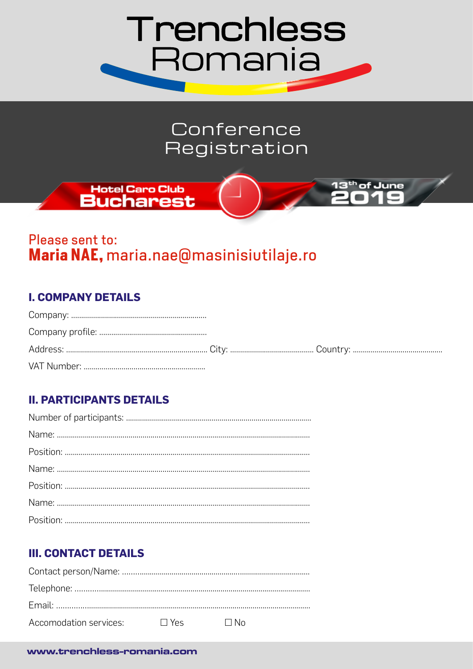

## Conference Registration

<sup>th</sup> of June

# Hotel Caro Club

### Please sent to: Maria NAE, maria.nae@masinisiutilaje.ro

#### **I. COMPANY DETAILS**

#### **II. PARTICIPANTS DETAILS**

#### **III. CONTACT DETAILS**

| $\Delta$ ccomodation services: $\Box$ Yes | – ⊟ No |
|-------------------------------------------|--------|

#### www.trenchless-romania.com